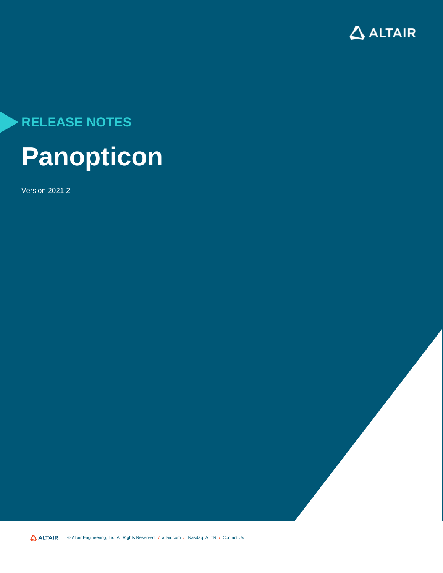

## **RELEASE NOTES Panopticon**

Version 2021.2

**©** Altair Engineering, Inc. All Rights Reserved. / [altair.com /](http://altair.com/) Nasdaq: ALTR / [Contact Us](https://www.altair.com/contact-us/)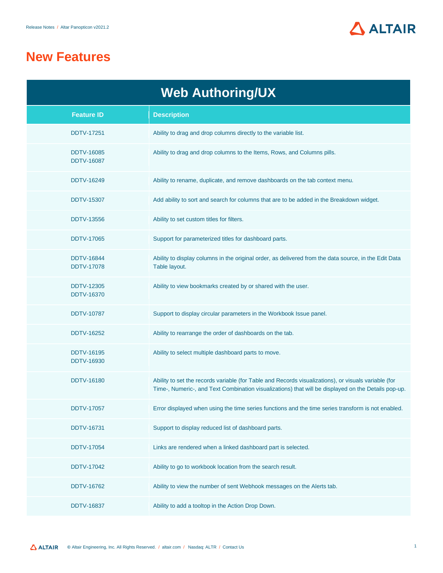

## **New Features**

| <b>Web Authoring/UX</b>                |                                                                                                                                                                                                             |
|----------------------------------------|-------------------------------------------------------------------------------------------------------------------------------------------------------------------------------------------------------------|
| <b>Feature ID</b>                      | <b>Description</b>                                                                                                                                                                                          |
| <b>DDTV-17251</b>                      | Ability to drag and drop columns directly to the variable list.                                                                                                                                             |
| <b>DDTV-16085</b><br><b>DDTV-16087</b> | Ability to drag and drop columns to the Items, Rows, and Columns pills.                                                                                                                                     |
| <b>DDTV-16249</b>                      | Ability to rename, duplicate, and remove dashboards on the tab context menu.                                                                                                                                |
| <b>DDTV-15307</b>                      | Add ability to sort and search for columns that are to be added in the Breakdown widget.                                                                                                                    |
| <b>DDTV-13556</b>                      | Ability to set custom titles for filters.                                                                                                                                                                   |
| <b>DDTV-17065</b>                      | Support for parameterized titles for dashboard parts.                                                                                                                                                       |
| <b>DDTV-16844</b><br><b>DDTV-17078</b> | Ability to display columns in the original order, as delivered from the data source, in the Edit Data<br>Table layout.                                                                                      |
| <b>DDTV-12305</b><br><b>DDTV-16370</b> | Ability to view bookmarks created by or shared with the user.                                                                                                                                               |
| <b>DDTV-10787</b>                      | Support to display circular parameters in the Workbook Issue panel.                                                                                                                                         |
| <b>DDTV-16252</b>                      | Ability to rearrange the order of dashboards on the tab.                                                                                                                                                    |
| <b>DDTV-16195</b><br><b>DDTV-16930</b> | Ability to select multiple dashboard parts to move.                                                                                                                                                         |
| <b>DDTV-16180</b>                      | Ability to set the records variable (for Table and Records visualizations), or visuals variable (for<br>Time-, Numeric-, and Text Combination visualizations) that will be displayed on the Details pop-up. |
| <b>DDTV-17057</b>                      | Error displayed when using the time series functions and the time series transform is not enabled.                                                                                                          |
| <b>DDTV-16731</b>                      | Support to display reduced list of dashboard parts.                                                                                                                                                         |
| <b>DDTV-17054</b>                      | Links are rendered when a linked dashboard part is selected.                                                                                                                                                |
| <b>DDTV-17042</b>                      | Ability to go to workbook location from the search result.                                                                                                                                                  |
| <b>DDTV-16762</b>                      | Ability to view the number of sent Webhook messages on the Alerts tab.                                                                                                                                      |
| <b>DDTV-16837</b>                      | Ability to add a tooltop in the Action Drop Down.                                                                                                                                                           |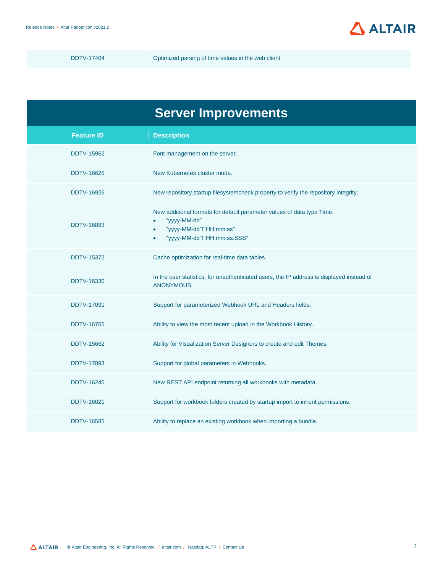DDTV-17404 **Optimized parsing of time values in the web client.** 

| <b>Server Improvements</b> |                                                                                                                                                               |
|----------------------------|---------------------------------------------------------------------------------------------------------------------------------------------------------------|
| <b>Feature ID</b>          | <b>Description</b>                                                                                                                                            |
| <b>DDTV-15962</b>          | Font management on the server.                                                                                                                                |
| <b>DDTV-16625</b>          | New Kubernetes cluster mode.                                                                                                                                  |
| <b>DDTV-16926</b>          | New repository.startup.filesystemcheck property to verify the repository integrity.                                                                           |
| <b>DDTV-16883</b>          | New additional formats for default parameter values of data type Time.<br>"yyyy-MM-dd"<br>"yyyy-MM-dd'T'HH:mm:ss"<br>"yyyy-MM-dd'T'HH:mm:ss.SSS"<br>$\bullet$ |
| <b>DDTV-15372</b>          | Cache optimization for real-time data tables.                                                                                                                 |
| <b>DDTV-16330</b>          | In the user statistics, for unauthenticated users, the IP address is displayed instead of<br>ANONYMOUS.                                                       |
| <b>DDTV-17091</b>          | Support for parameterized Webhook URL and Headers fields.                                                                                                     |
| <b>DDTV-16705</b>          | Ability to view the most recent upload in the Workbook History.                                                                                               |
| <b>DDTV-15662</b>          | Ability for Visualization Server Designers to create and edit Themes.                                                                                         |
| <b>DDTV-17093</b>          | Support for global parameters in Webhooks.                                                                                                                    |
| <b>DDTV-16245</b>          | New REST API endpoint returning all workbooks with metadata.                                                                                                  |
| <b>DDTV-16021</b>          | Support for workbook folders created by startup import to inherit permissions.                                                                                |
| <b>DDTV-16585</b>          | Ability to replace an existing workbook when importing a bundle.                                                                                              |

 $\Delta$  ALTAIR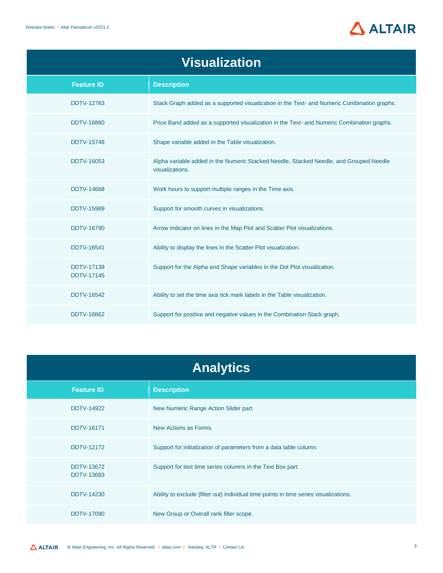

| <b>Visualization</b>                   |                                                                                                           |
|----------------------------------------|-----------------------------------------------------------------------------------------------------------|
| <b>Feature ID</b>                      | <b>Description</b>                                                                                        |
| <b>DDTV-12783</b>                      | Stack Graph added as a supported visualization in the Text- and Numeric Combination graphs.               |
| <b>DDTV-16860</b>                      | Price Band added as a supported visualization in the Text- and Numeric Combination graphs.                |
| <b>DDTV-15748</b>                      | Shape variable added in the Table visualization.                                                          |
| <b>DDTV-16053</b>                      | Alpha variable added in the Numeric Stacked Needle, Stacked Needle, and Grouped Needle<br>visualizations. |
| <b>DDTV-14668</b>                      | Work hours to support multiple ranges in the Time axis.                                                   |
| <b>DDTV-15989</b>                      | Support for smooth curves in visualizations.                                                              |
| <b>DDTV-16790</b>                      | Arrow indicator on lines in the Map Plot and Scatter Plot visualizations.                                 |
| <b>DDTV-16541</b>                      | Ability to display the lines in the Scatter Plot visualization.                                           |
| <b>DDTV-17139</b><br><b>DDTV-17145</b> | Support for the Alpha and Shape variables in the Dot Plot visualization.                                  |
| <b>DDTV-16542</b>                      | Ability to set the time axis tick mark labels in the Table visualization.                                 |
| <b>DDTV-16862</b>                      | Support for positive and negative values in the Combination Stack graph.                                  |

| <b>Analytics</b>                |                                                                                       |
|---------------------------------|---------------------------------------------------------------------------------------|
| <b>Feature ID</b>               | <b>Description</b>                                                                    |
| <b>DDTV-14922</b>               | New Numeric Range Action Slider part.                                                 |
| <b>DDTV-16171</b>               | New Actions as Forms.                                                                 |
| <b>DDTV-12172</b>               | Support for initialization of parameters from a data table column.                    |
| DDTV-13672<br><b>DDTV-13683</b> | Support for text time series columns in the Text Box part.                            |
| <b>DDTV-14230</b>               | Ability to exclude (filter out) individual time points in time series visualizations. |
| <b>DDTV-17090</b>               | New Group or Overall rank filter scope.                                               |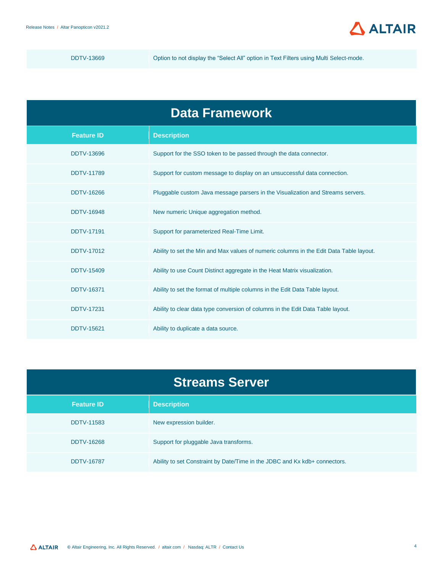DDTV-13669 Option to not display the "Select All" option in Text Filters using Multi Select-mode.

 $\Delta$  ALTAIR

| <b>Data Framework</b> |                                                                                         |
|-----------------------|-----------------------------------------------------------------------------------------|
| <b>Feature ID</b>     | <b>Description</b>                                                                      |
| <b>DDTV-13696</b>     | Support for the SSO token to be passed through the data connector.                      |
| <b>DDTV-11789</b>     | Support for custom message to display on an unsuccessful data connection.               |
| <b>DDTV-16266</b>     | Pluggable custom Java message parsers in the Visualization and Streams servers.         |
| <b>DDTV-16948</b>     | New numeric Unique aggregation method.                                                  |
| <b>DDTV-17191</b>     | Support for parameterized Real-Time Limit.                                              |
| <b>DDTV-17012</b>     | Ability to set the Min and Max values of numeric columns in the Edit Data Table layout. |
| <b>DDTV-15409</b>     | Ability to use Count Distinct aggregate in the Heat Matrix visualization.               |
| <b>DDTV-16371</b>     | Ability to set the format of multiple columns in the Edit Data Table layout.            |
| <b>DDTV-17231</b>     | Ability to clear data type conversion of columns in the Edit Data Table layout.         |
| <b>DDTV-15621</b>     | Ability to duplicate a data source.                                                     |

| <b>Streams Server</b> |                                                                            |
|-----------------------|----------------------------------------------------------------------------|
| <b>Feature ID</b>     | <b>Description</b>                                                         |
| <b>DDTV-11583</b>     | New expression builder.                                                    |
| DDTV-16268            | Support for pluggable Java transforms.                                     |
| <b>DDTV-16787</b>     | Ability to set Constraint by Date/Time in the JDBC and Kx kdb+ connectors. |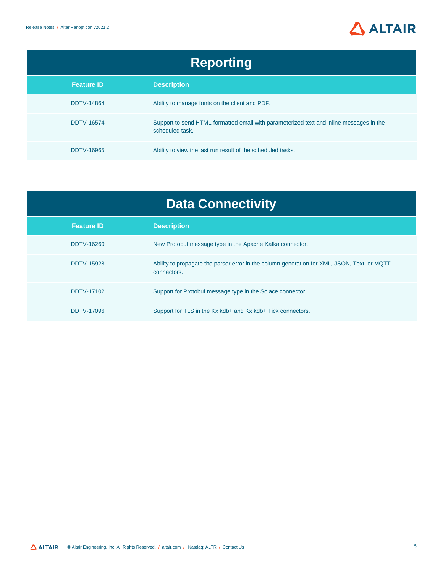

| <b>Reporting</b>  |                                                                                                            |
|-------------------|------------------------------------------------------------------------------------------------------------|
| <b>Feature ID</b> | <b>Description</b>                                                                                         |
| <b>DDTV-14864</b> | Ability to manage fonts on the client and PDF.                                                             |
| <b>DDTV-16574</b> | Support to send HTML-formatted email with parameterized text and inline messages in the<br>scheduled task. |
| <b>DDTV-16965</b> | Ability to view the last run result of the scheduled tasks.                                                |

| <b>Data Connectivity</b> |                                                                                                            |
|--------------------------|------------------------------------------------------------------------------------------------------------|
| <b>Feature ID</b>        | <b>Description</b>                                                                                         |
| DDTV-16260               | New Protobuf message type in the Apache Kafka connector.                                                   |
| <b>DDTV-15928</b>        | Ability to propagate the parser error in the column generation for XML, JSON, Text, or MQTT<br>connectors. |
| <b>DDTV-17102</b>        | Support for Protobuf message type in the Solace connector.                                                 |
| DDTV-17096               | Support for TLS in the Kx kdb+ and Kx kdb+ Tick connectors.                                                |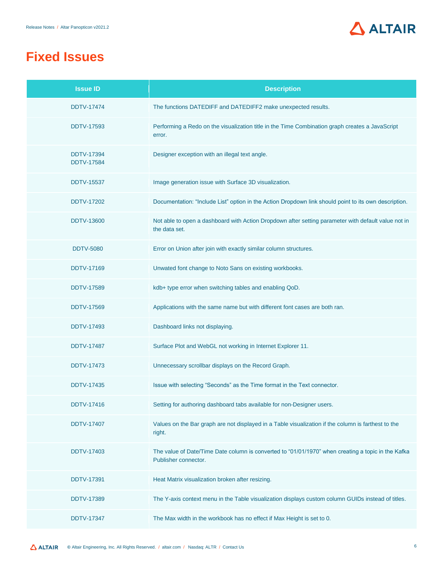

## **Fixed Issues**

| <b>Issue ID</b>                        | <b>Description</b>                                                                                                         |
|----------------------------------------|----------------------------------------------------------------------------------------------------------------------------|
| <b>DDTV-17474</b>                      | The functions DATEDIFF and DATEDIFF2 make unexpected results.                                                              |
| <b>DDTV-17593</b>                      | Performing a Redo on the visualization title in the Time Combination graph creates a JavaScript<br>error.                  |
| <b>DDTV-17394</b><br><b>DDTV-17584</b> | Designer exception with an illegal text angle.                                                                             |
| <b>DDTV-15537</b>                      | Image generation issue with Surface 3D visualization.                                                                      |
| <b>DDTV-17202</b>                      | Documentation: "Include List" option in the Action Dropdown link should point to its own description.                      |
| <b>DDTV-13600</b>                      | Not able to open a dashboard with Action Dropdown after setting parameter with default value not in<br>the data set.       |
| <b>DDTV-5080</b>                       | Error on Union after join with exactly similar column structures.                                                          |
| <b>DDTV-17169</b>                      | Unwated font change to Noto Sans on existing workbooks.                                                                    |
| <b>DDTV-17589</b>                      | kdb+ type error when switching tables and enabling QoD.                                                                    |
| <b>DDTV-17569</b>                      | Applications with the same name but with different font cases are both ran.                                                |
| <b>DDTV-17493</b>                      | Dashboard links not displaying.                                                                                            |
| <b>DDTV-17487</b>                      | Surface Plot and WebGL not working in Internet Explorer 11.                                                                |
| <b>DDTV-17473</b>                      | Unnecessary scrollbar displays on the Record Graph.                                                                        |
| <b>DDTV-17435</b>                      | Issue with selecting "Seconds" as the Time format in the Text connector.                                                   |
| DDTV-17416                             | Setting for authoring dashboard tabs available for non-Designer users.                                                     |
| <b>DDTV-17407</b>                      | Values on the Bar graph are not displayed in a Table visualization if the column is farthest to the<br>right.              |
| <b>DDTV-17403</b>                      | The value of Date/Time Date column is converted to "01/01/1970" when creating a topic in the Kafka<br>Publisher connector. |
| <b>DDTV-17391</b>                      | Heat Matrix visualization broken after resizing.                                                                           |
| <b>DDTV-17389</b>                      | The Y-axis context menu in the Table visualization displays custom column GUIDs instead of titles.                         |
| <b>DDTV-17347</b>                      | The Max width in the workbook has no effect if Max Height is set to 0.                                                     |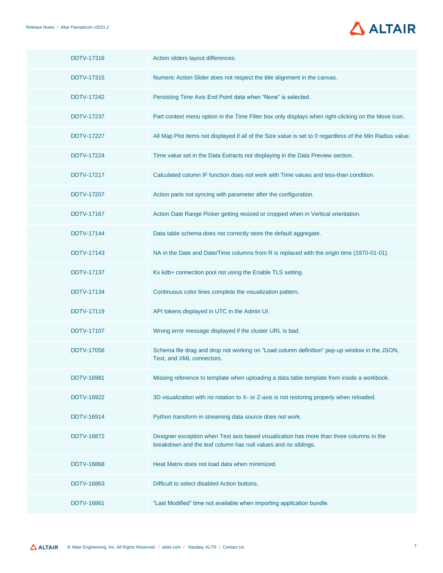

| <b>DDTV-17316</b> | Action sliders layout differences.                                                                                                                         |
|-------------------|------------------------------------------------------------------------------------------------------------------------------------------------------------|
| <b>DDTV-17315</b> | Numeric Action Slider does not respect the title alignment in the canvas.                                                                                  |
| <b>DDTV-17242</b> | Persisting Time Axis End Point data when "None" is selected.                                                                                               |
| <b>DDTV-17237</b> | Part context menu option in the Time Filter box only displays when right-clicking on the Move icon.                                                        |
| <b>DDTV-17227</b> | All Map Plot items not displayed if all of the Size value is set to 0 regardless of the Min Radius value.                                                  |
| <b>DDTV-17224</b> | Time value set in the Data Extracts not displaying in the Data Preview section.                                                                            |
| <b>DDTV-17217</b> | Calculated column IF function does not work with Time values and less-than condition.                                                                      |
| <b>DDTV-17207</b> | Action parts not syncing with parameter after the configuration.                                                                                           |
| <b>DDTV-17167</b> | Action Date Range Picker getting resized or cropped when in Vertical orientation.                                                                          |
| <b>DDTV-17144</b> | Data table schema does not correctly store the default aggregate.                                                                                          |
| <b>DDTV-17143</b> | NA in the Date and Date/Time columns from R is replaced with the origin time (1970-01-01).                                                                 |
| <b>DDTV-17137</b> | Kx kdb+ connection pool not using the Enable TLS setting.                                                                                                  |
| <b>DDTV-17134</b> | Continuous color lines complete the visualization pattern.                                                                                                 |
| <b>DDTV-17119</b> | API tokens displayed in UTC in the Admin UI.                                                                                                               |
| <b>DDTV-17107</b> | Wrong error message displayed if the cluster URL is bad.                                                                                                   |
| <b>DDTV-17056</b> | Schema file drag and drop not working on "Load column definition" pop-up window in the JSON,<br>Text, and XML connectors.                                  |
| <b>DDTV-16981</b> | Missing reference to template when uploading a data table template from inside a workbook.                                                                 |
| <b>DDTV-16922</b> | 3D visualization with no rotation to X- or Z-axis is not restoring properly when reloaded.                                                                 |
| <b>DDTV-16914</b> | Python transform in streaming data source does not work.                                                                                                   |
| <b>DDTV-16872</b> | Designer exception when Text axis based visualization has more than three columns in the<br>breakdown and the leaf column has null values and no siblings. |
| <b>DDTV-16868</b> | Heat Matrix does not load data when minimized.                                                                                                             |
| <b>DDTV-16863</b> | Difficult to select disabled Action buttons.                                                                                                               |
| <b>DDTV-16861</b> | "Last Modified" time not available when importing application bundle.                                                                                      |